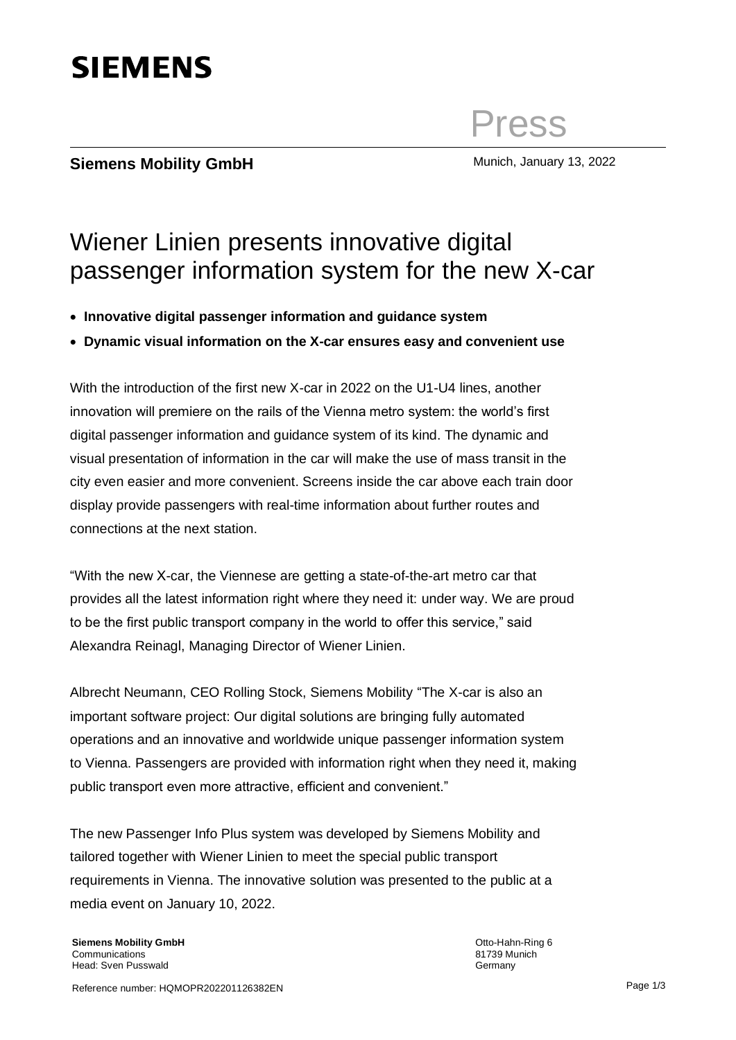# **SIEMENS**

# Press

## **Siemens Mobility GmbH** Munich, January 13, 2022

#### **Siemens Mobility GmbH** vviener Leitung: Frederick Jeske-Schönhoven Deutschland Otto-Hahn-Ring 6 Wiener Linien presents innovative digital passenger information system for the new X-car

- Headline: Arial 20 pt normal, Zeilenabstand 1 • **Innovative digital passenger information and guidance system**
- **[Optional] Bullet-Points, Arial 11 pt fett, Zeilenabstand 1,5 Dynamic visual information on the X-car ensures easy and convenient use**

With the introduction of the first new X-car in 2022 on the U1-U4 lines, another innovation will premiere on the rails of the Vienna metro system: the world's first digital passenger information and guidance system of its kind. The dynamic and city even easier and more convenient. Screens inside the car above each train door display provide passengers with real-time information about further routes and connections at the next station. visual presentation of information in the car will make the use of mass transit in the

"With the new X-car, the Viennese are getting a state-of-the-art metro car that provides all the latest information right where they need it: under way. We are proud to be the first public transport company in the world to offer this service," said Alexandra Reinagl, Managing Director of Wiener Linien.

Albrecht Neumann, CEO Rolling Stock, Siemens Mobility "The X-car is also an important software project: Our digital solutions are bringing fully automated operations and an innovative and worldwide unique passenger information system to Vienna. Passengers are provided with information right when they need it, making public transport even more attractive, efficient and convenient."

The new Passenger Info Plus system was developed by Siemens Mobility and tailored together with Wiener Linien to meet the special public transport requirements in Vienna. The innovative solution was presented to the public at a media event on January 10, 2022.

**Siemens Mobility GmbH Communications** Head: Sven Pusswald

Otto-Hahn-Ring 6 81739 Munich **Germany**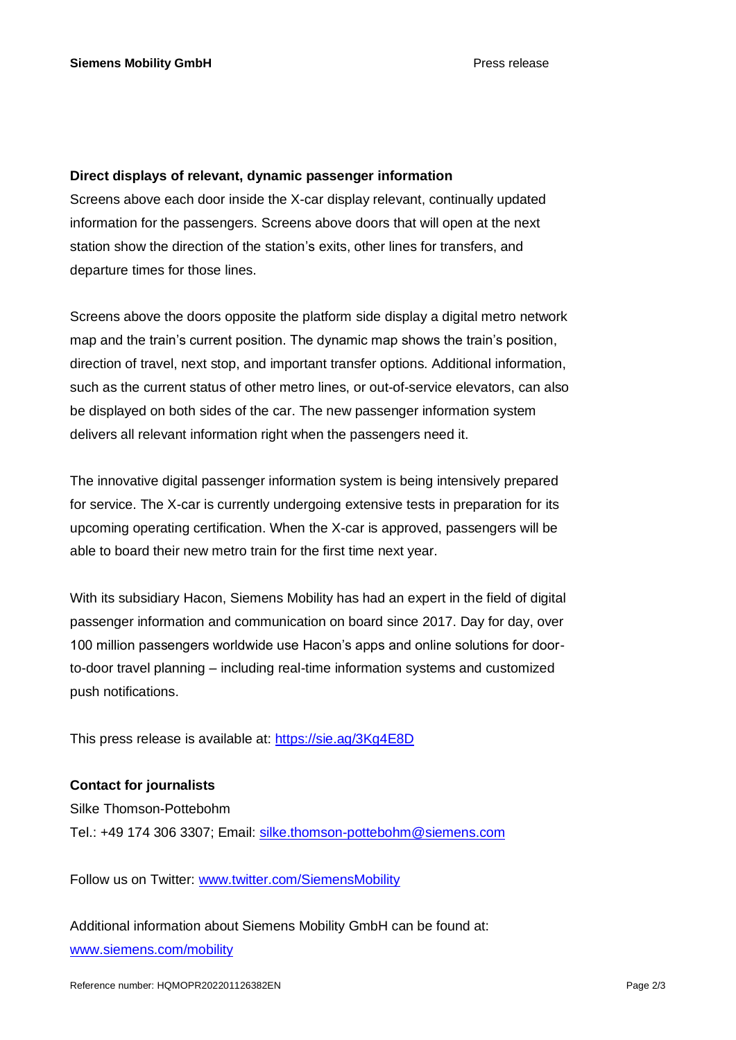### **Direct displays of relevant, dynamic passenger information**

Screens above each door inside the X-car display relevant, continually updated information for the passengers. Screens above doors that will open at the next station show the direction of the station's exits, other lines for transfers, and departure times for those lines.

Screens above the doors opposite the platform side display a digital metro network map and the train's current position. The dynamic map shows the train's position, direction of travel, next stop, and important transfer options. Additional information, such as the current status of other metro lines, or out-of-service elevators, can also be displayed on both sides of the car. The new passenger information system delivers all relevant information right when the passengers need it.

The innovative digital passenger information system is being intensively prepared for service. The X-car is currently undergoing extensive tests in preparation for its upcoming operating certification. When the X-car is approved, passengers will be able to board their new metro train for the first time next year.

With its subsidiary Hacon, Siemens Mobility has had an expert in the field of digital passenger information and communication on board since 2017. Day for day, over 100 million passengers worldwide use Hacon's apps and online solutions for doorto-door travel planning – including real-time information systems and customized push notifications.

This press release is available at:<https://sie.ag/3Kg4E8D>

### **Contact for journalists**

Silke Thomson-Pottebohm Tel.: +49 174 306 3307; Email: [silke.thomson-pottebohm@siemens.com](mailto:silke.thomson-pottebohm@siemens.com)

Follow us on Twitter: [www.twitter.com/SiemensMobility](http://www.twitter.com/SiemensMobility)

Additional information about Siemens Mobility GmbH can be found at: [www.siemens.com/mobility](http://www.siemens.com/mobility)